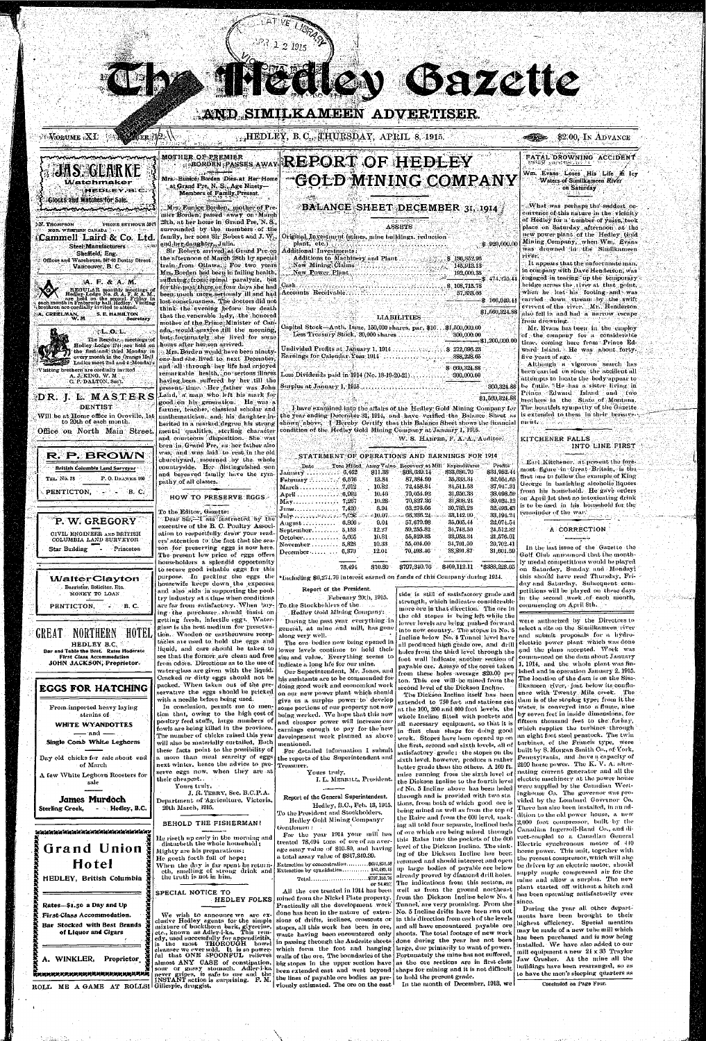# **AND SIMILKAMEEN ADVERTISER.**

**'•P ' -i** 

## $i \cdot V$ olume  $i$ XI  $i$

**MGR. WESTERN CANADA** 

Glocks and Watches for Sale. **menennum wann** 

**^** 

# .^HEDLEY, B. C",^HUESi)AY, APltJL 8, 191o. . <s^^ - .,\$2.00, IN ADVANCE

Steel: Manufacturers **Sheffield, Eng . • Offices and "Warehouse, 847-63 Beatty Street Vancouver, B. C.** 

HEDLEY, B.C.

iCammell Laird & Co. Ltd.

**^** 

*•\A.* F. & A. M.

 $r$ .L..o. L. $\cdot$ **The Regular. ; meetings -.of Hedley Lodge 1714: arc hold on tho first .and - third Monday in every month in the Orange Hall Ladies meet 2nd and 4 .Mondays** 

**A. J.:KING. W. M , , , C. P.'DALTON, Sec't.** 

R. P. BROWN **British Columbia Land Surveyor-**

PENTICTON, **PRIMITION** 

 $^{\circ}$ P. W. GREGORY $^{\circ}$ **CIVIL ENGINEER AND BRITISH COLUMBIA LAND SURVEYOR Star Building - Princeton** 

**- ,A. CREELMAN,** 

**W. M** 

**S. E. HAMILTON** 

**Secretary** 

## **MOTHE R O.EiP^E.MIE R**   $\cdots$ **Mrs. • Eunice / Borden Dies- a t Her' Hom e Watchmaker**

**-**

 **'Visiting brethern are cordially invited** 

**,\N. THOMPSON PHONE SEYMOUR 591? ;. Mrs.>.FiUni.ce Borden , .mothe r of Pre mie r Borden ; passed'awa y on-Marc h 29th, a t he r hom e in Gran d Pre , N . S.,**   $s$ urrounded by the members of the **family , he r son s Si r Robei t an d J. W, , a.nd^her.diiughter,,, Julia .** 

-DR. J. L. MASTERS **DENTIS T Wil l be a t Hom e office in Oroville , 1st**   $\frac{1}{20}$  **to 20th of each month. Office on North Main Street.** 

**TEL. No. 78** 

**P. 0 .** DllAWEK 100

REGULAR monthly meetings of<br>Hedley Lodge No. 13, A. F. & A. M.,<br>a each month in Fraternity hall Hedley. Triday, in<br>a brethren are cordially invited to attend. **S i r Rober t arrived,, a t Gran d Pr e on t h e afteinoo n of Marc h 28t h b y specia l**   $train$ -from Ottawa., For two years **Mrs-Borde n ha d bee n in failin g health ,**   $s$ uffering.; from: spinal paralysis, but **foi"tlie>piis.t-thr.ee,or.fonr day s sh e had**  been, much more seriously ill and had lost consciousness. The doctors did not **think- Ihe evenin g befor e he r deat h tha t tli e venerabl e lady , th e .honore d**  mother of the Prime, Minister of Can**ada,.-would-.sniviv e .till th e morning ,**   $\frac{1}{2}$  **but-fortunately** she lived for some **hour s afte r her.so n arrived .** 

**',,at,Grand Pre , N<sup>5</sup> -S. l ; .Ag e Ninety— Member s of Family-Present.** 

# $^{\circ}$ <sup>THER OF REBUILE</sup> AWAY REPORT OF HEDLEY -Got© MINING COMPANY

Len Garzette

# BALANCE SHEET DECEMBER 31, 1914

**, . Mrs. Borde n woul d hav e bee n ninety one , ha d she . lived t o nex t December , a n d all throug h he r lif e ha d enjoye <sup>d</sup> remarkiihl e health,..n o seriou s illness haying.bee n suffered b y he r till th e presen t time . He r fathe r wa s Joh n**  Laird, a man who left his mark for **good-o n his .generation . H e wa s a farmer , teacher , classica l schola r an d a n d courteou s disposition . Sh e wa s born in GWind Pre , a s he r fathe r als <sup>o</sup> was**, and was laid to rest in the old **churchyard , mourne d b y th e whol <sup>e</sup> countryside . He r distinguishe d -son**  and bereaved family have the sym**path y o f all classes.** 

**ASSIST S** 

**Original, ^Investment (mines, min e buildings, reduction ' plant, etc.) ...'..".** 

> **360,324.88 be futile . " H e ha s a siste r livin g in Although a vigorous search has been** carried on since the accident all **attempts to locat e th e body-appea r t o Prince . Edwai d Islan d an d tw o**  brothers in the State of Montana. **T h e heailfelt sympath y of th e Gazett <sup>e</sup>** is extended to them in their bereave-

#### **KITCHENER FALLS INTO LINE FIRST**

**\$ 471,275.44** 

 $$1,560,321.88$ 

**FATA L DROWNIN G ACCIDENT\* .** 

**\$ 920,000.00 Additiona l Investments : Addition s to'Machiner y an d Plan t .•.••;•\$ 136,352.96 ..Ne w Mining"; Claim s '•" ..".'.... ........ 145,913.13 . .. -N,ew,.Power , Plan t ."..'.." 192,009.35 Cash .' '.....\$ . 108,715.78 Accounts Receivabl e .". 57,333.66**  92. LAT **- \$ 166,049.41** 

## **LIABILITIES**

*r^r.i-.yi •* **i I.--• .'?».«•, -1 \ » " ' • ' / W m . Evans Lose s His Life hi Icy**  Waters of Similkameen River **Waters-of Similkameen River-** *•* **on Saturday** 

**78,491: \$10.80 \$797-340.76 \$-109,112.11 \*\$388,22S.05**  In the last issue of the Gazette the **Golf Club announce d tha t th e month l y meda l competition s woul d be playe d o n Saturday , Sunda y an d Mondav i this should have read Thursday, Fri-**

**Capita l Stock—Anth . Issue , 150,000 shares, par , \$10. . .\$1,500,000.00 Less Treasury Stock, 30,000 shares**  $\ldots$ ,  $\ldots$ ,  $\ldots$  **300,000.00 Undivide d Piofits .-it Januar y 1, 1911**  \$ 272,096.23 **Earning s fo r Calenda r Yea r 1914**  . 388,228.65 **Less Dividend s paid in 1914 (No . 18-19-20-21)...,**  . -300,000.00 \$ 600.324.S8 -\$1,200,000.00

**Surplu s a t Januar y 1, 1915..** 

**inathematician**, and his daughter in- the year ending December 31, 1914, and have verified the Balance Sheet as herited in a marked degree his strong shown above. I Hereby Certify that this Balance Sheet shows the financial ment **menta l qualities, sterlin g characte r condition of th e Hedle y Gold Minin g Compan y a t Januar y 1. 1915. .' \$1,560,824.88**  I have examined into the affairs of the Hedley Gold Mining Company for

# HOW TO PRESERVE EGGS

**T o th e Editor , Gazette : Dea r Sir,'—I a m Instructe d by" "the executive of the B. C. Poultry Associ**ation to respectfully draw your read**ers' attentio n to th e fac t tha t th e sea s o n fo r preservin g egg s is no w here . T h e presen t lo w pric e of egg s offer <sup>s</sup> householder s a splendi d opportunit <sup>y</sup> <sup>t</sup> o secur e goo d reliabl e egg s fo r this**  **W . S. HARPER , F. A . A. , Auditor .** 

### **STATEMENT OF OPERATIONS AND EARNINGS FOR 1914**

| \$31,952.44<br>\$68,639.14<br>\$33,686.70<br>6.462<br>\$11.38<br>Januar∀∵<br>first one to follow the example of King.<br>87, 384, 99<br>52.051.65<br>35,333,34<br>13.84.<br>February :<br>$\ldots$ . 6,576<br>George in banishing alcoholic liquors-<br>$-37,947.31$<br>72.458.84<br>10.82<br>34,511.53<br>-7.012<br>March<br>from his household. He gave orders<br>38,098.59<br>31.956.33<br>70,054.92<br>$10.46^{\circ}$<br>April $\ldots \ldots \ldots \ldots 6,992$<br>on April 1st that no intoxicating drink<br>31,803.24<br>$-39.024.12$<br>70,827.36<br>$10.28^\circ$<br>7,267<br>May.<br>is to be used in his household for the<br>32,493.43<br>30.783.23<br>63.276.66<br>8.94<br>7.420.<br>June. <i>.</i><br>remainder of the war.<br>66,336,24<br>33.142.00<br>33.191.24<br>10.07<br>$\mathbf{Julv} \sim \cdots \sim \cdots \sim 7,098$ .<br>22,074.54<br>57,679.98.<br>35,605,44<br>9.04<br>$6.806 \div$<br>$August$<br>A CORRECTION<br>59,255.82<br>12.27<br>34,743,50<br>24,512.32<br>5.153<br>$S$ eptember. $\dots \dots$<br>55,529.35<br>33,953.34<br>21,576.01<br>10.81<br>-5.605-<br>$Octo$ ber<br>55,404.00<br>34,701.59<br>20,702.41<br>10.33<br>5.823<br>November .<br>In the last issue of the Gazette the<br>38,891.87<br>$70.493.46^\circ$<br>31,001,59<br>$12.01\degree$<br>6,370<br>December<br>Golf Club announced that the month- | Date | Tons Milled | Assay Value | Recovery at Mill | Expenditures | Profits | Earl Kitchener, at present the fore-                                  |
|---------------------------------------------------------------------------------------------------------------------------------------------------------------------------------------------------------------------------------------------------------------------------------------------------------------------------------------------------------------------------------------------------------------------------------------------------------------------------------------------------------------------------------------------------------------------------------------------------------------------------------------------------------------------------------------------------------------------------------------------------------------------------------------------------------------------------------------------------------------------------------------------------------------------------------------------------------------------------------------------------------------------------------------------------------------------------------------------------------------------------------------------------------------------------------------------------------------------------------------------------------------------------------------------------------------------------------------------------------------|------|-------------|-------------|------------------|--------------|---------|-----------------------------------------------------------------------|
|                                                                                                                                                                                                                                                                                                                                                                                                                                                                                                                                                                                                                                                                                                                                                                                                                                                                                                                                                                                                                                                                                                                                                                                                                                                                                                                                                               |      |             |             |                  |              |         | most figure in Great Britain, is the                                  |
|                                                                                                                                                                                                                                                                                                                                                                                                                                                                                                                                                                                                                                                                                                                                                                                                                                                                                                                                                                                                                                                                                                                                                                                                                                                                                                                                                               |      |             |             |                  |              |         |                                                                       |
|                                                                                                                                                                                                                                                                                                                                                                                                                                                                                                                                                                                                                                                                                                                                                                                                                                                                                                                                                                                                                                                                                                                                                                                                                                                                                                                                                               |      |             |             |                  |              |         |                                                                       |
|                                                                                                                                                                                                                                                                                                                                                                                                                                                                                                                                                                                                                                                                                                                                                                                                                                                                                                                                                                                                                                                                                                                                                                                                                                                                                                                                                               |      |             |             |                  |              |         |                                                                       |
|                                                                                                                                                                                                                                                                                                                                                                                                                                                                                                                                                                                                                                                                                                                                                                                                                                                                                                                                                                                                                                                                                                                                                                                                                                                                                                                                                               |      |             |             |                  |              |         |                                                                       |
|                                                                                                                                                                                                                                                                                                                                                                                                                                                                                                                                                                                                                                                                                                                                                                                                                                                                                                                                                                                                                                                                                                                                                                                                                                                                                                                                                               |      |             |             |                  |              |         |                                                                       |
|                                                                                                                                                                                                                                                                                                                                                                                                                                                                                                                                                                                                                                                                                                                                                                                                                                                                                                                                                                                                                                                                                                                                                                                                                                                                                                                                                               |      |             |             |                  |              |         |                                                                       |
|                                                                                                                                                                                                                                                                                                                                                                                                                                                                                                                                                                                                                                                                                                                                                                                                                                                                                                                                                                                                                                                                                                                                                                                                                                                                                                                                                               |      |             |             |                  |              |         |                                                                       |
|                                                                                                                                                                                                                                                                                                                                                                                                                                                                                                                                                                                                                                                                                                                                                                                                                                                                                                                                                                                                                                                                                                                                                                                                                                                                                                                                                               |      |             |             |                  |              |         |                                                                       |
|                                                                                                                                                                                                                                                                                                                                                                                                                                                                                                                                                                                                                                                                                                                                                                                                                                                                                                                                                                                                                                                                                                                                                                                                                                                                                                                                                               |      |             |             |                  |              |         |                                                                       |
|                                                                                                                                                                                                                                                                                                                                                                                                                                                                                                                                                                                                                                                                                                                                                                                                                                                                                                                                                                                                                                                                                                                                                                                                                                                                                                                                                               |      |             |             |                  |              |         |                                                                       |
|                                                                                                                                                                                                                                                                                                                                                                                                                                                                                                                                                                                                                                                                                                                                                                                                                                                                                                                                                                                                                                                                                                                                                                                                                                                                                                                                                               |      |             |             |                  |              |         |                                                                       |
| $$409,112.11$ *\$388,228.65<br>\$10.80<br>8797:340.76<br>-78.491                                                                                                                                                                                                                                                                                                                                                                                                                                                                                                                                                                                                                                                                                                                                                                                                                                                                                                                                                                                                                                                                                                                                                                                                                                                                                              |      |             |             |                  |              |         | ly medal competitions would be played<br>Saturday, Sunday and Monday, |

**. Wha t wa s perhap s the' saddest oc currenc e of this natur e in th e vicinit <sup>y</sup>** of Hedley for a number of years, took **plac e on Saturda y afternoo n a t th e n e w powe r plan t of th e Hedley . Gold Minin g Company , whe n Wm . Evan s w a s di owne d in th e Similkamee <sup>n</sup> river ; ' - •** 

**It appeals that the unfortunate man, in compan y wit h Dav e Henderson , wa s engaged** in tearing up the temporary bridge across the river at that point, **when** he lost his footing and was **carried dow n strea m b y th e swift cvrrento f th e river . Mr. Henderso n als o fell in an d had a narro w escap e**  from drowning.

**M r . Evan s ha s been in th e emplo <sup>y</sup> of** the company for a considerable **time , comin g hei e fro m Princ e Ed ward Island. He was about fortyfive yeais of age .** 



**Canadia n IngersoII-Rand Co. , an d di**rect-coupled to a Canadian General **Electric synchronous motor of 410 hors e power . This unit, togethe r wit h t h e presen t compressor , whic h will als o**  be driven by an electric motor, should **suppl y ampl e compresse d ai r fo r th e mine** and allow a surplus. The new **plant** started off without a hitch and **has been operating satisfactorily ever** During the year all other depart**ments have been brought to their highest efficiency. Specia l mentio n m a y be mad e of a ne w tub e mill whic <sup>h</sup>**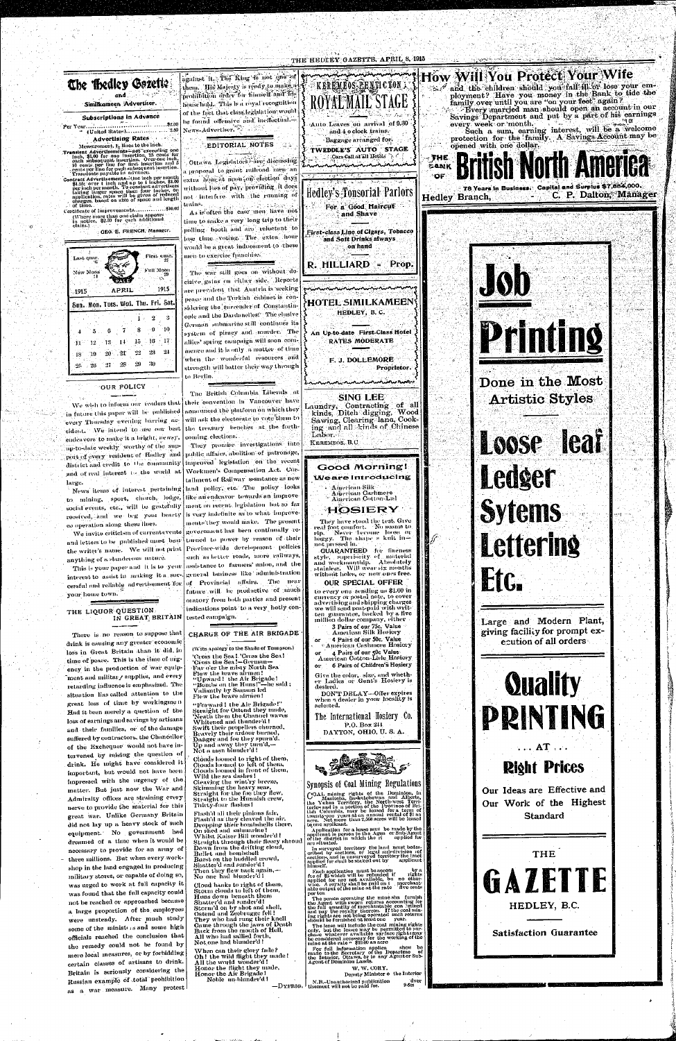

drink is causing any greater economic loss in Great Britain than it did, in time of peace. This is the time of urgency in the production of war equipment and military supplies, and every retarding influence is emphasized. The situation lias called attention to the great loss of time by workingmen Had it been merely a question of the loss of earnings and savings by artisans and their families, or of the damage suffered by contractors, the Chancellor of the Exchequer would not have intervened by raising the question of drink. He might have considered it important, but would not have been impressed with the urgency of the matter. But just now the War and Admiralty offices are straining every nerve to provide the material for this great war. Unlike Germany Britain did not lay up a heavy stock of such equipment. No government had dreamed of a time when it would be necessary to provide for an army of three millions. But when every workshop in the land engaged in producing military stores, or capable of doing so, was urged to work at full capacity it was found that the full capacity could not be reached or approached because a large proportion of the employees were unsteady. After much study some of the ministers and some high officials reached the conclusion that the remedy could not be found by mere local measures, or by forbidding certain classes of artisans to drink. Britain is seriously considering the Russian example of total prohibition as a war measure. Many protest

Honor the Air Brigade! Noble un blunder'd !





Deputy Minister o the Interior  $\left.\left.\left.\right\vert_{\text{LIS.}^\text{H}}\right\vert\right\vert_{\text{LIS.}^\text{H}}$  and  $\left.\right\vert_{\text{LIS.}^\text{H}}$  and  $\left.\right\vert_{\text{LIS.}^\text{H}}$  and  $\left.\right\vert_{\text{LIS.}^\text{H}}$ dver<br>9.6m